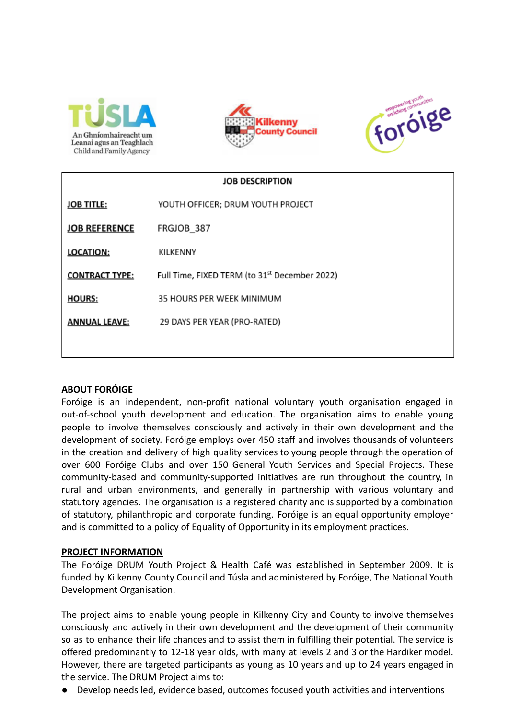





| <b>JOB DESCRIPTION</b> |                                                           |
|------------------------|-----------------------------------------------------------|
| <b>JOB TITLE:</b>      | YOUTH OFFICER; DRUM YOUTH PROJECT                         |
| <b>JOB REFERENCE</b>   | FRGJOB_387                                                |
| <b>LOCATION:</b>       | KILKENNY                                                  |
| <b>CONTRACT TYPE:</b>  | Full Time, FIXED TERM (to 31 <sup>st</sup> December 2022) |
| <b>HOURS:</b>          | 35 HOURS PER WEEK MINIMUM                                 |
| <b>ANNUAL LEAVE:</b>   | 29 DAYS PER YEAR (PRO-RATED)                              |
|                        |                                                           |

# **ABOUT FORÓIGE**

Foróige is an independent, non-profit national voluntary youth organisation engaged in out-of-school youth development and education. The organisation aims to enable young people to involve themselves consciously and actively in their own development and the development of society. Foróige employs over 450 staff and involves thousands of volunteers in the creation and delivery of high quality services to young people through the operation of over 600 Foróige Clubs and over 150 General Youth Services and Special Projects. These community-based and community-supported initiatives are run throughout the country, in rural and urban environments, and generally in partnership with various voluntary and statutory agencies. The organisation is a registered charity and is supported by a combination of statutory, philanthropic and corporate funding. Foróige is an equal opportunity employer and is committed to a policy of Equality of Opportunity in its employment practices.

## **PROJECT INFORMATION**

The Foróige DRUM Youth Project & Health Café was established in September 2009. It is funded by Kilkenny County Council and Túsla and administered by Foróige, The National Youth Development Organisation.

The project aims to enable young people in Kilkenny City and County to involve themselves consciously and actively in their own development and the development of their community so as to enhance their life chances and to assist them in fulfilling their potential. The service is offered predominantly to 12-18 year olds, with many at levels 2 and 3 or the Hardiker model. However, there are targeted participants as young as 10 years and up to 24 years engaged in the service. The DRUM Project aims to:

● Develop needs led, evidence based, outcomes focused youth activities and interventions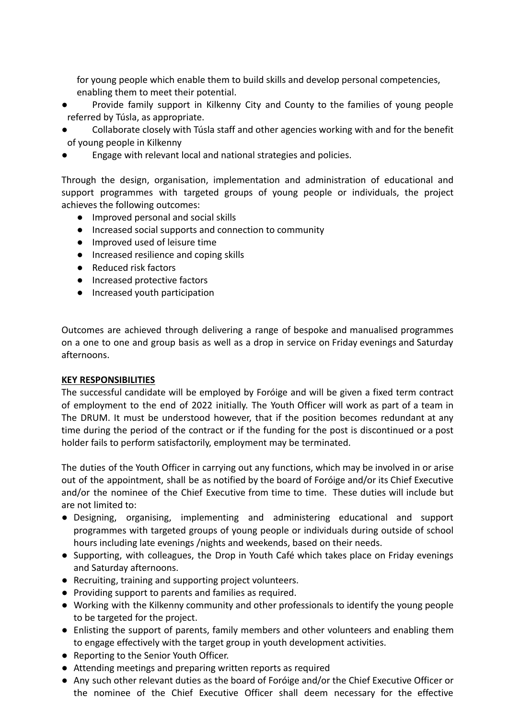for young people which enable them to build skills and develop personal competencies, enabling them to meet their potential.

- Provide family support in Kilkenny City and County to the families of young people referred by Túsla, as appropriate.
- Collaborate closely with Túsla staff and other agencies working with and for the benefit of young people in Kilkenny
- Engage with relevant local and national strategies and policies.

Through the design, organisation, implementation and administration of educational and support programmes with targeted groups of young people or individuals, the project achieves the following outcomes:

- Improved personal and social skills
- Increased social supports and connection to community
- Improved used of leisure time
- Increased resilience and coping skills
- Reduced risk factors
- Increased protective factors
- Increased youth participation

Outcomes are achieved through delivering a range of bespoke and manualised programmes on a one to one and group basis as well as a drop in service on Friday evenings and Saturday afternoons.

## **KEY RESPONSIBILITIES**

The successful candidate will be employed by Foróige and will be given a fixed term contract of employment to the end of 2022 initially. The Youth Officer will work as part of a team in The DRUM. It must be understood however, that if the position becomes redundant at any time during the period of the contract or if the funding for the post is discontinued or a post holder fails to perform satisfactorily, employment may be terminated.

The duties of the Youth Officer in carrying out any functions, which may be involved in or arise out of the appointment, shall be as notified by the board of Foróige and/or its Chief Executive and/or the nominee of the Chief Executive from time to time. These duties will include but are not limited to:

- Designing, organising, implementing and administering educational and support programmes with targeted groups of young people or individuals during outside of school hours including late evenings /nights and weekends, based on their needs.
- Supporting, with colleagues, the Drop in Youth Café which takes place on Friday evenings and Saturday afternoons.
- Recruiting, training and supporting project volunteers.
- Providing support to parents and families as required.
- Working with the Kilkenny community and other professionals to identify the young people to be targeted for the project.
- Enlisting the support of parents, family members and other volunteers and enabling them to engage effectively with the target group in youth development activities.
- Reporting to the Senior Youth Officer.
- Attending meetings and preparing written reports as required
- Any such other relevant duties as the board of Foróige and/or the Chief Executive Officer or the nominee of the Chief Executive Officer shall deem necessary for the effective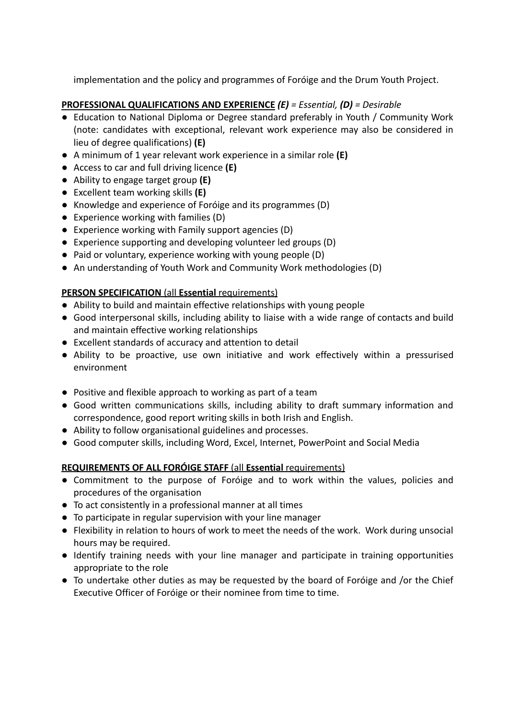implementation and the policy and programmes of Foróige and the Drum Youth Project.

# **PROFESSIONAL QUALIFICATIONS AND EXPERIENCE** *(E) = Essential, (D) = Desirable*

- Education to National Diploma or Degree standard preferably in Youth / Community Work (note: candidates with exceptional, relevant work experience may also be considered in lieu of degree qualifications) **(E)**
- A minimum of 1 year relevant work experience in a similar role **(E)**
- Access to car and full driving licence **(E)**
- **●** Ability to engage target group **(E)**
- Excellent team working skills **(E)**
- Knowledge and experience of Foróige and its programmes (D)
- Experience working with families (D)
- Experience working with Family support agencies (D)
- Experience supporting and developing volunteer led groups (D)
- Paid or voluntary, experience working with young people (D)
- An understanding of Youth Work and Community Work methodologies (D)

# **PERSON SPECIFICATION** (all **Essential** requirements)

- Ability to build and maintain effective relationships with young people
- Good interpersonal skills, including ability to liaise with a wide range of contacts and build and maintain effective working relationships
- Excellent standards of accuracy and attention to detail
- Ability to be proactive, use own initiative and work effectively within a pressurised environment
- Positive and flexible approach to working as part of a team
- Good written communications skills, including ability to draft summary information and correspondence, good report writing skills in both Irish and English.
- Ability to follow organisational guidelines and processes.
- Good computer skills, including Word, Excel, Internet, PowerPoint and Social Media

# **REQUIREMENTS OF ALL FORÓIGE STAFF** (all **Essential** requirements)

- Commitment to the purpose of Foróige and to work within the values, policies and procedures of the organisation
- To act consistently in a professional manner at all times
- To participate in regular supervision with your line manager
- Flexibility in relation to hours of work to meet the needs of the work. Work during unsocial hours may be required.
- Identify training needs with your line manager and participate in training opportunities appropriate to the role
- **●** To undertake other duties as may be requested by the board of Foróige and /or the Chief Executive Officer of Foróige or their nominee from time to time.